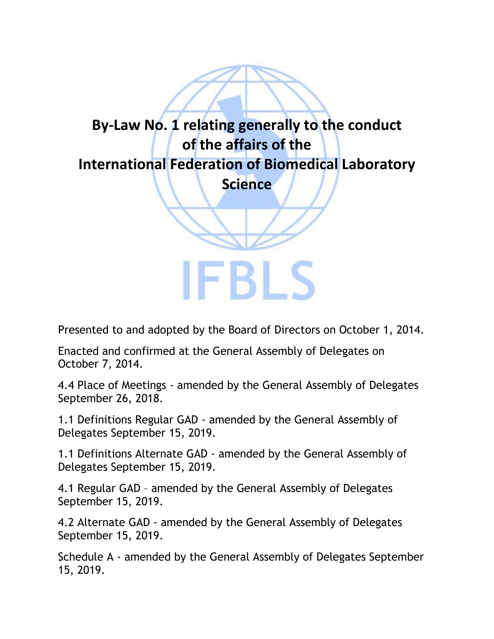

Presented to and adopted by the Board of Directors on October 1, 2014.

Enacted and confirmed at the General Assembly of Delegates on October 7, 2014.

4.4 Place of Meetings - amended by the General Assembly of Delegates September 26, 2018.

1.1 Definitions Regular GAD - amended by the General Assembly of Delegates September 15, 2019.

1.1 Definitions Alternate GAD - amended by the General Assembly of Delegates September 15, 2019.

4.1 Regular GAD – amended by the General Assembly of Delegates September 15, 2019.

4.2 Alternate GAD - amended by the General Assembly of Delegates September 15, 2019.

Schedule A - amended by the General Assembly of Delegates September 15, 2019.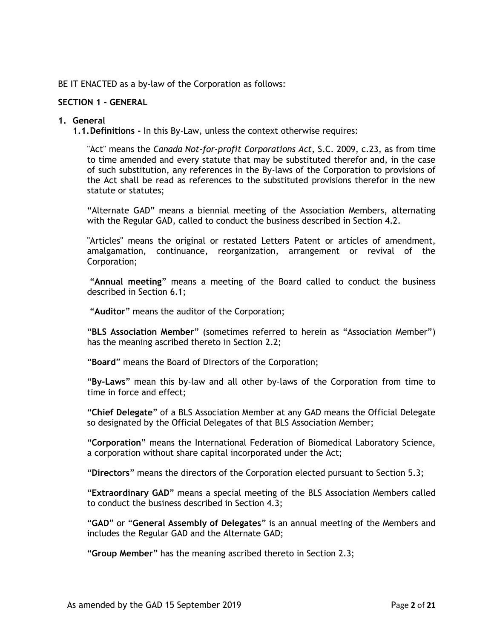BE IT ENACTED as a by-law of the Corporation as follows:

### **SECTION 1 - GENERAL**

#### **1. General**

**1.1.Definitions -** In this By-Law, unless the context otherwise requires:

"Act" means the *Canada Not-for-profit Corporations Act*, S.C. 2009, c.23, as from time to time amended and every statute that may be substituted therefor and, in the case of such substitution, any references in the By-laws of the Corporation to provisions of the Act shall be read as references to the substituted provisions therefor in the new statute or statutes;

"Alternate GAD" means a biennial meeting of the Association Members, alternating with the Regular GAD, called to conduct the business described in Section 4.2.

"Articles" means the original or restated Letters Patent or articles of amendment, amalgamation, continuance, reorganization, arrangement or revival of the Corporation;

"**Annual meeting**" means a meeting of the Board called to conduct the business described in Section 6.1;

"**Auditor**" means the auditor of the Corporation;

"**BLS Association Member**" (sometimes referred to herein as "Association Member") has the meaning ascribed thereto in Section 2.2;

"**Board**" means the Board of Directors of the Corporation;

"**By-Laws**" mean this by-law and all other by-laws of the Corporation from time to time in force and effect;

"**Chief Delegate**" of a BLS Association Member at any GAD means the Official Delegate so designated by the Official Delegates of that BLS Association Member;

"**Corporation**" means the International Federation of Biomedical Laboratory Science, a corporation without share capital incorporated under the Act;

"**Directors**" means the directors of the Corporation elected pursuant to Section 5.3;

"**Extraordinary GAD**" means a special meeting of the BLS Association Members called to conduct the business described in Section 4.3;

"**GAD**" or "**General Assembly of Delegates**" is an annual meeting of the Members and includes the Regular GAD and the Alternate GAD;

"**Group Member**" has the meaning ascribed thereto in Section 2.3;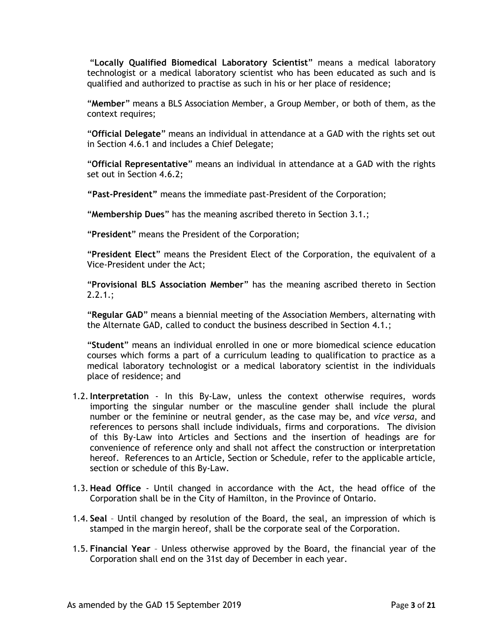"**Locally Qualified Biomedical Laboratory Scientist**" means a medical laboratory technologist or a medical laboratory scientist who has been educated as such and is qualified and authorized to practise as such in his or her place of residence;

"**Member**" means a BLS Association Member, a Group Member, or both of them, as the context requires;

"**Official Delegate**" means an individual in attendance at a GAD with the rights set out in Section 4.6.1 and includes a Chief Delegate;

"**Official Representative**" means an individual in attendance at a GAD with the rights set out in Section 4.6.2;

**"Past-President"** means the immediate past-President of the Corporation;

"**Membership Dues**" has the meaning ascribed thereto in Section 3.1.;

"**President**" means the President of the Corporation;

"**President Elect**" means the President Elect of the Corporation, the equivalent of a Vice-President under the Act;

"**Provisional BLS Association Member**" has the meaning ascribed thereto in Section  $2.2.1$ .;

"**Regular GAD**" means a biennial meeting of the Association Members, alternating with the Alternate GAD, called to conduct the business described in Section 4.1.;

"**Student**" means an individual enrolled in one or more biomedical science education courses which forms a part of a curriculum leading to qualification to practice as a medical laboratory technologist or a medical laboratory scientist in the individuals place of residence; and

- 1.2.**Interpretation** In this By-Law, unless the context otherwise requires, words importing the singular number or the masculine gender shall include the plural number or the feminine or neutral gender, as the case may be, and *vice versa*, and references to persons shall include individuals, firms and corporations. The division of this By-Law into Articles and Sections and the insertion of headings are for convenience of reference only and shall not affect the construction or interpretation hereof. References to an Article, Section or Schedule, refer to the applicable article, section or schedule of this By-Law.
- 1.3. **Head Office**  Until changed in accordance with the Act, the head office of the Corporation shall be in the City of Hamilton, in the Province of Ontario.
- 1.4. **Seal**  Until changed by resolution of the Board, the seal, an impression of which is stamped in the margin hereof, shall be the corporate seal of the Corporation.
- 1.5. **Financial Year** Unless otherwise approved by the Board, the financial year of the Corporation shall end on the 31st day of December in each year.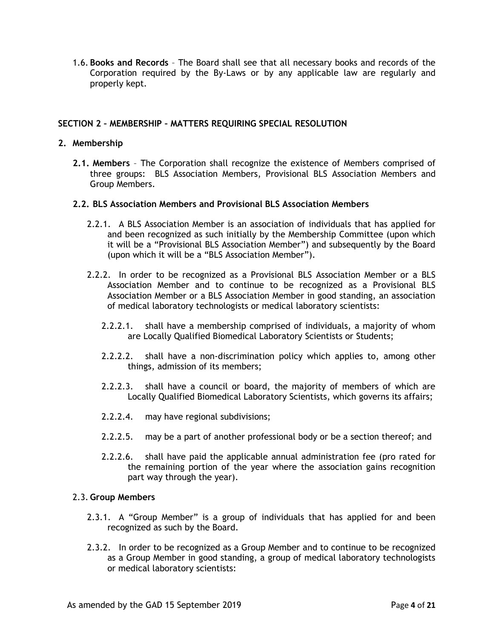1.6. **Books and Records** – The Board shall see that all necessary books and records of the Corporation required by the By-Laws or by any applicable law are regularly and properly kept.

# **SECTION 2 – MEMBERSHIP – MATTERS REQUIRING SPECIAL RESOLUTION**

### **2. Membership**

**2.1. Members** – The Corporation shall recognize the existence of Members comprised of three groups: BLS Association Members, Provisional BLS Association Members and Group Members.

### **2.2. BLS Association Members and Provisional BLS Association Members**

- 2.2.1. A BLS Association Member is an association of individuals that has applied for and been recognized as such initially by the Membership Committee (upon which it will be a "Provisional BLS Association Member") and subsequently by the Board (upon which it will be a "BLS Association Member").
- 2.2.2. In order to be recognized as a Provisional BLS Association Member or a BLS Association Member and to continue to be recognized as a Provisional BLS Association Member or a BLS Association Member in good standing, an association of medical laboratory technologists or medical laboratory scientists:
	- 2.2.2.1. shall have a membership comprised of individuals, a majority of whom are Locally Qualified Biomedical Laboratory Scientists or Students;
	- 2.2.2.2. shall have a non-discrimination policy which applies to, among other things, admission of its members;
	- 2.2.2.3. shall have a council or board, the majority of members of which are Locally Qualified Biomedical Laboratory Scientists, which governs its affairs;
	- 2.2.2.4. may have regional subdivisions;
	- 2.2.2.5. may be a part of another professional body or be a section thereof; and
	- 2.2.2.6. shall have paid the applicable annual administration fee (pro rated for the remaining portion of the year where the association gains recognition part way through the year).

#### 2.3. **Group Members**

- 2.3.1. A "Group Member" is a group of individuals that has applied for and been recognized as such by the Board.
- 2.3.2. In order to be recognized as a Group Member and to continue to be recognized as a Group Member in good standing, a group of medical laboratory technologists or medical laboratory scientists: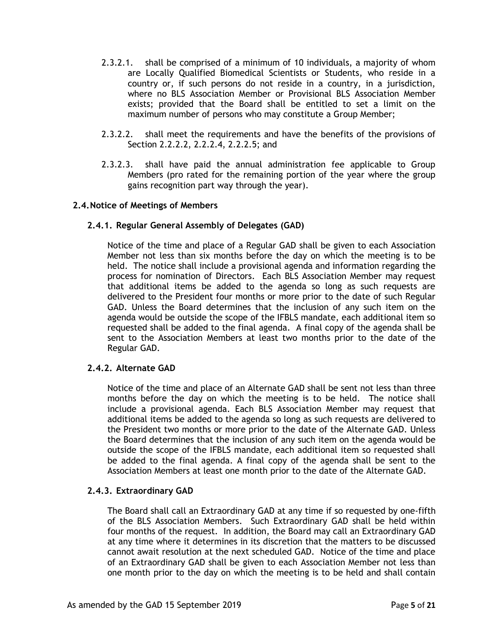- 2.3.2.1. shall be comprised of a minimum of 10 individuals, a majority of whom are Locally Qualified Biomedical Scientists or Students, who reside in a country or, if such persons do not reside in a country, in a jurisdiction, where no BLS Association Member or Provisional BLS Association Member exists; provided that the Board shall be entitled to set a limit on the maximum number of persons who may constitute a Group Member;
- 2.3.2.2. shall meet the requirements and have the benefits of the provisions of Section 2.2.2.2, 2.2.2.4, 2.2.2.5; and
- 2.3.2.3. shall have paid the annual administration fee applicable to Group Members (pro rated for the remaining portion of the year where the group gains recognition part way through the year).

### **2.4.Notice of Meetings of Members**

### **2.4.1. Regular General Assembly of Delegates (GAD)**

Notice of the time and place of a Regular GAD shall be given to each Association Member not less than six months before the day on which the meeting is to be held. The notice shall include a provisional agenda and information regarding the process for nomination of Directors. Each BLS Association Member may request that additional items be added to the agenda so long as such requests are delivered to the President four months or more prior to the date of such Regular GAD. Unless the Board determines that the inclusion of any such item on the agenda would be outside the scope of the IFBLS mandate, each additional item so requested shall be added to the final agenda. A final copy of the agenda shall be sent to the Association Members at least two months prior to the date of the Regular GAD.

# **2.4.2. Alternate GAD**

Notice of the time and place of an Alternate GAD shall be sent not less than three months before the day on which the meeting is to be held. The notice shall include a provisional agenda. Each BLS Association Member may request that additional items be added to the agenda so long as such requests are delivered to the President two months or more prior to the date of the Alternate GAD. Unless the Board determines that the inclusion of any such item on the agenda would be outside the scope of the IFBLS mandate, each additional item so requested shall be added to the final agenda. A final copy of the agenda shall be sent to the Association Members at least one month prior to the date of the Alternate GAD.

#### **2.4.3. Extraordinary GAD**

The Board shall call an Extraordinary GAD at any time if so requested by one-fifth of the BLS Association Members. Such Extraordinary GAD shall be held within four months of the request.In addition, the Board may call an Extraordinary GAD at any time where it determines in its discretion that the matters to be discussed cannot await resolution at the next scheduled GAD. Notice of the time and place of an Extraordinary GAD shall be given to each Association Member not less than one month prior to the day on which the meeting is to be held and shall contain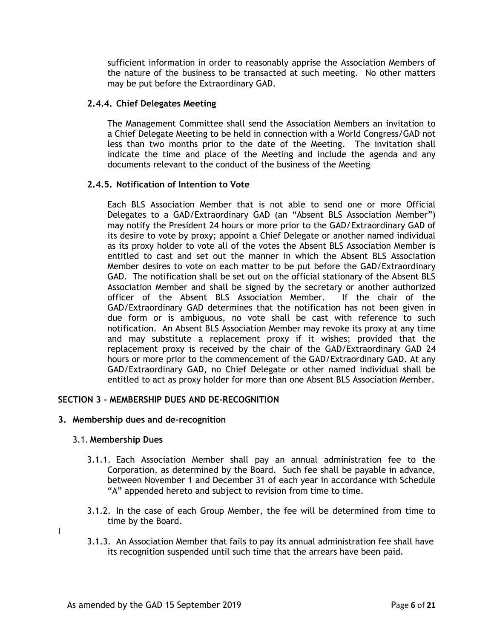sufficient information in order to reasonably apprise the Association Members of the nature of the business to be transacted at such meeting. No other matters may be put before the Extraordinary GAD.

### **2.4.4. Chief Delegates Meeting**

The Management Committee shall send the Association Members an invitation to a Chief Delegate Meeting to be held in connection with a World Congress/GAD not less than two months prior to the date of the Meeting. The invitation shall indicate the time and place of the Meeting and include the agenda and any documents relevant to the conduct of the business of the Meeting

### **2.4.5. Notification of Intention to Vote**

Each BLS Association Member that is not able to send one or more Official Delegates to a GAD/Extraordinary GAD (an "Absent BLS Association Member") may notify the President 24 hours or more prior to the GAD/Extraordinary GAD of its desire to vote by proxy; appoint a Chief Delegate or another named individual as its proxy holder to vote all of the votes the Absent BLS Association Member is entitled to cast and set out the manner in which the Absent BLS Association Member desires to vote on each matter to be put before the GAD/Extraordinary GAD. The notification shall be set out on the official stationary of the Absent BLS Association Member and shall be signed by the secretary or another authorized officer of the Absent BLS Association Member. If the chair of the GAD/Extraordinary GAD determines that the notification has not been given in due form or is ambiguous, no vote shall be cast with reference to such notification. An Absent BLS Association Member may revoke its proxy at any time and may substitute a replacement proxy if it wishes; provided that the replacement proxy is received by the chair of the GAD/Extraordinary GAD 24 hours or more prior to the commencement of the GAD/Extraordinary GAD. At any GAD/Extraordinary GAD, no Chief Delegate or other named individual shall be entitled to act as proxy holder for more than one Absent BLS Association Member.

### **SECTION 3 - MEMBERSHIP DUES AND DE-RECOGNITION**

#### **3. Membership dues and de-recognition**

#### 3.1. **Membership Dues**

I

- 3.1.1. Each Association Member shall pay an annual administration fee to the Corporation, as determined by the Board. Such fee shall be payable in advance, between November 1 and December 31 of each year in accordance with Schedule "A" appended hereto and subject to revision from time to time.
- 3.1.2. In the case of each Group Member, the fee will be determined from time to time by the Board.
- 3.1.3. An Association Member that fails to pay its annual administration fee shall have its recognition suspended until such time that the arrears have been paid.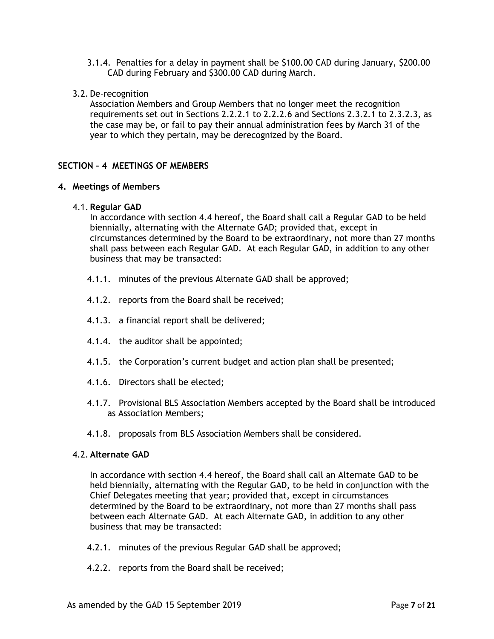- 3.1.4. Penalties for a delay in payment shall be \$100.00 CAD during January, \$200.00 CAD during February and \$300.00 CAD during March.
- 3.2. De-recognition

Association Members and Group Members that no longer meet the recognition requirements set out in Sections 2.2.2.1 to 2.2.2.6 and Sections 2.3.2.1 to 2.3.2.3, as the case may be, or fail to pay their annual administration fees by March 31 of the year to which they pertain, may be derecognized by the Board.

# **SECTION – 4 MEETINGS OF MEMBERS**

# **4. Meetings of Members**

### 4.1. **Regular GAD**

In accordance with section 4.4 hereof, the Board shall call a Regular GAD to be held biennially, alternating with the Alternate GAD; provided that, except in circumstances determined by the Board to be extraordinary, not more than 27 months shall pass between each Regular GAD. At each Regular GAD, in addition to any other business that may be transacted:

- 4.1.1. minutes of the previous Alternate GAD shall be approved;
- 4.1.2. reports from the Board shall be received;
- 4.1.3. a financial report shall be delivered;
- 4.1.4. the auditor shall be appointed;
- 4.1.5. the Corporation's current budget and action plan shall be presented;
- 4.1.6. Directors shall be elected;
- 4.1.7. Provisional BLS Association Members accepted by the Board shall be introduced as Association Members;
- 4.1.8. proposals from BLS Association Members shall be considered.

# 4.2. **Alternate GAD**

In accordance with section 4.4 hereof, the Board shall call an Alternate GAD to be held biennially, alternating with the Regular GAD, to be held in conjunction with the Chief Delegates meeting that year; provided that, except in circumstances determined by the Board to be extraordinary, not more than 27 months shall pass between each Alternate GAD. At each Alternate GAD, in addition to any other business that may be transacted:

- 4.2.1. minutes of the previous Regular GAD shall be approved;
- 4.2.2. reports from the Board shall be received;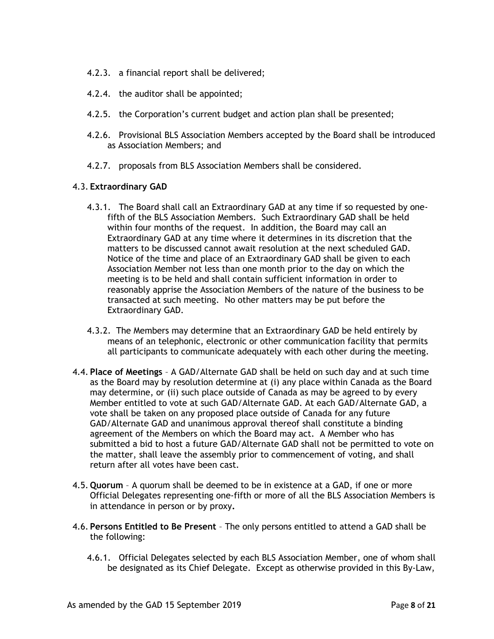- 4.2.3. a financial report shall be delivered;
- 4.2.4. the auditor shall be appointed;
- 4.2.5. the Corporation's current budget and action plan shall be presented;
- 4.2.6. Provisional BLS Association Members accepted by the Board shall be introduced as Association Members; and
- 4.2.7. proposals from BLS Association Members shall be considered.

### 4.3. **Extraordinary GAD**

- 4.3.1. The Board shall call an Extraordinary GAD at any time if so requested by onefifth of the BLS Association Members. Such Extraordinary GAD shall be held within four months of the request. In addition, the Board may call an Extraordinary GAD at any time where it determines in its discretion that the matters to be discussed cannot await resolution at the next scheduled GAD. Notice of the time and place of an Extraordinary GAD shall be given to each Association Member not less than one month prior to the day on which the meeting is to be held and shall contain sufficient information in order to reasonably apprise the Association Members of the nature of the business to be transacted at such meeting. No other matters may be put before the Extraordinary GAD.
- 4.3.2. The Members may determine that an Extraordinary GAD be held entirely by means of an telephonic, electronic or other communication facility that permits all participants to communicate adequately with each other during the meeting.
- 4.4. **Place of Meetings**  A GAD/Alternate GAD shall be held on such day and at such time as the Board may by resolution determine at (i) any place within Canada as the Board may determine, or (ii) such place outside of Canada as may be agreed to by every Member entitled to vote at such GAD/Alternate GAD. At each GAD/Alternate GAD, a vote shall be taken on any proposed place outside of Canada for any future GAD/Alternate GAD and unanimous approval thereof shall constitute a binding agreement of the Members on which the Board may act. A Member who has submitted a bid to host a future GAD/Alternate GAD shall not be permitted to vote on the matter, shall leave the assembly prior to commencement of voting, and shall return after all votes have been cast.
- 4.5. **Quorum**  A quorum shall be deemed to be in existence at a GAD, if one or more Official Delegates representing one-fifth or more of all the BLS Association Members is in attendance in person or by proxy**.**
- 4.6. **Persons Entitled to Be Present** The only persons entitled to attend a GAD shall be the following:
	- 4.6.1. Official Delegates selected by each BLS Association Member, one of whom shall be designated as its Chief Delegate. Except as otherwise provided in this By-Law,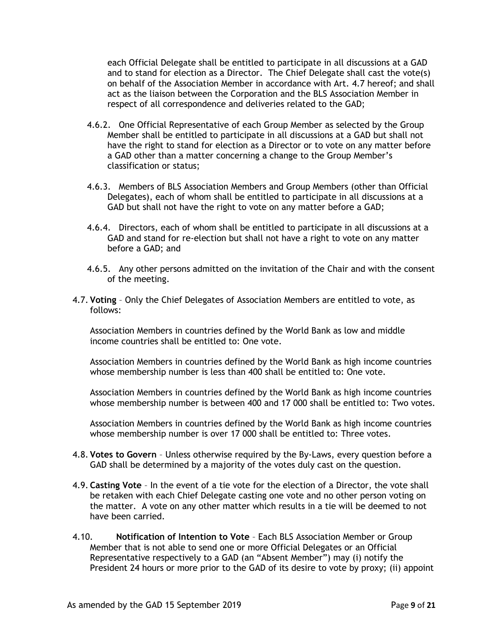each Official Delegate shall be entitled to participate in all discussions at a GAD and to stand for election as a Director. The Chief Delegate shall cast the vote(s) on behalf of the Association Member in accordance with Art. 4.7 hereof; and shall act as the liaison between the Corporation and the BLS Association Member in respect of all correspondence and deliveries related to the GAD;

- 4.6.2. One Official Representative of each Group Member as selected by the Group Member shall be entitled to participate in all discussions at a GAD but shall not have the right to stand for election as a Director or to vote on any matter before a GAD other than a matter concerning a change to the Group Member's classification or status;
- 4.6.3. Members of BLS Association Members and Group Members (other than Official Delegates), each of whom shall be entitled to participate in all discussions at a GAD but shall not have the right to vote on any matter before a GAD;
- 4.6.4. Directors, each of whom shall be entitled to participate in all discussions at a GAD and stand for re-election but shall not have a right to vote on any matter before a GAD; and
- 4.6.5. Any other persons admitted on the invitation of the Chair and with the consent of the meeting.
- 4.7. **Voting** Only the Chief Delegates of Association Members are entitled to vote, as follows:

Association Members in countries defined by the World Bank as low and middle income countries shall be entitled to: One vote.

Association Members in countries defined by the World Bank as high income countries whose membership number is less than 400 shall be entitled to: One vote.

Association Members in countries defined by the World Bank as high income countries whose membership number is between 400 and 17 000 shall be entitled to: Two votes.

Association Members in countries defined by the World Bank as high income countries whose membership number is over 17 000 shall be entitled to: Three votes.

- 4.8. **Votes to Govern**  Unless otherwise required by the By-Laws, every question before a GAD shall be determined by a majority of the votes duly cast on the question.
- 4.9. **Casting Vote** In the event of a tie vote for the election of a Director, the vote shall be retaken with each Chief Delegate casting one vote and no other person voting on the matter. A vote on any other matter which results in a tie will be deemed to not have been carried.
- 4.10. **Notification of Intention to Vote** Each BLS Association Member or Group Member that is not able to send one or more Official Delegates or an Official Representative respectively to a GAD (an "Absent Member") may (i) notify the President 24 hours or more prior to the GAD of its desire to vote by proxy; (ii) appoint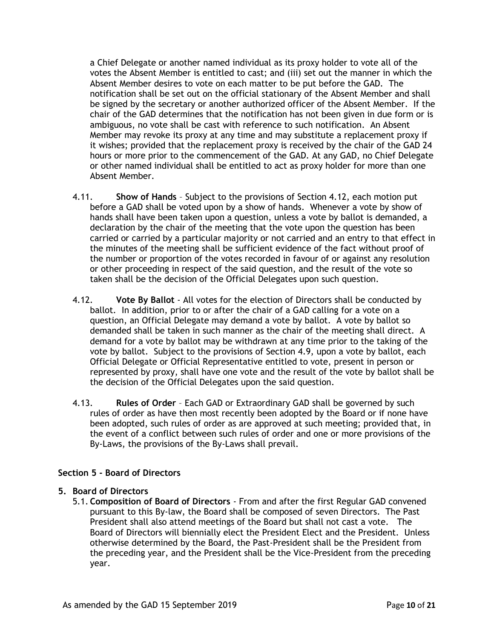a Chief Delegate or another named individual as its proxy holder to vote all of the votes the Absent Member is entitled to cast; and (iii) set out the manner in which the Absent Member desires to vote on each matter to be put before the GAD. The notification shall be set out on the official stationary of the Absent Member and shall be signed by the secretary or another authorized officer of the Absent Member. If the chair of the GAD determines that the notification has not been given in due form or is ambiguous, no vote shall be cast with reference to such notification. An Absent Member may revoke its proxy at any time and may substitute a replacement proxy if it wishes; provided that the replacement proxy is received by the chair of the GAD 24 hours or more prior to the commencement of the GAD. At any GAD, no Chief Delegate or other named individual shall be entitled to act as proxy holder for more than one Absent Member.

- 4.11. **Show of Hands** Subject to the provisions of Section 4.12, each motion put before a GAD shall be voted upon by a show of hands. Whenever a vote by show of hands shall have been taken upon a question, unless a vote by ballot is demanded, a declaration by the chair of the meeting that the vote upon the question has been carried or carried by a particular majority or not carried and an entry to that effect in the minutes of the meeting shall be sufficient evidence of the fact without proof of the number or proportion of the votes recorded in favour of or against any resolution or other proceeding in respect of the said question, and the result of the vote so taken shall be the decision of the Official Delegates upon such question.
- 4.12. **Vote By Ballot** All votes for the election of Directors shall be conducted by ballot. In addition, prior to or after the chair of a GAD calling for a vote on a question, an Official Delegate may demand a vote by ballot. A vote by ballot so demanded shall be taken in such manner as the chair of the meeting shall direct. A demand for a vote by ballot may be withdrawn at any time prior to the taking of the vote by ballot. Subject to the provisions of Section 4.9, upon a vote by ballot, each Official Delegate or Official Representative entitled to vote, present in person or represented by proxy, shall have one vote and the result of the vote by ballot shall be the decision of the Official Delegates upon the said question.
- 4.13. **Rules of Order** Each GAD or Extraordinary GAD shall be governed by such rules of order as have then most recently been adopted by the Board or if none have been adopted, such rules of order as are approved at such meeting; provided that, in the event of a conflict between such rules of order and one or more provisions of the By-Laws, the provisions of the By-Laws shall prevail.

# **Section 5 - Board of Directors**

# **5. Board of Directors**

5.1. **Composition of Board of Directors** - From and after the first Regular GAD convened pursuant to this By-law, the Board shall be composed of seven Directors. The Past President shall also attend meetings of the Board but shall not cast a vote. The Board of Directors will biennially elect the President Elect and the President. Unless otherwise determined by the Board, the Past-President shall be the President from the preceding year, and the President shall be the Vice-President from the preceding year.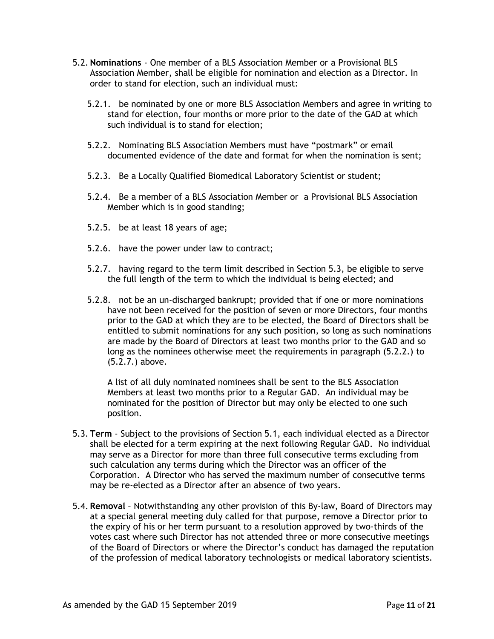- 5.2. **Nominations** One member of a BLS Association Member or a Provisional BLS Association Member, shall be eligible for nomination and election as a Director. In order to stand for election, such an individual must:
	- 5.2.1. be nominated by one or more BLS Association Members and agree in writing to stand for election, four months or more prior to the date of the GAD at which such individual is to stand for election;
	- 5.2.2. Nominating BLS Association Members must have "postmark" or email documented evidence of the date and format for when the nomination is sent;
	- 5.2.3. Be a Locally Qualified Biomedical Laboratory Scientist or student;
	- 5.2.4. Be a member of a BLS Association Member or a Provisional BLS Association Member which is in good standing;
	- 5.2.5. be at least 18 years of age;
	- 5.2.6. have the power under law to contract;
	- 5.2.7. having regard to the term limit described in Section 5.3, be eligible to serve the full length of the term to which the individual is being elected; and
	- 5.2.8. not be an un-discharged bankrupt; provided that if one or more nominations have not been received for the position of seven or more Directors, four months prior to the GAD at which they are to be elected, the Board of Directors shall be entitled to submit nominations for any such position, so long as such nominations are made by the Board of Directors at least two months prior to the GAD and so long as the nominees otherwise meet the requirements in paragraph (5.2.2.) to (5.2.7.) above.

A list of all duly nominated nominees shall be sent to the BLS Association Members at least two months prior to a Regular GAD. An individual may be nominated for the position of Director but may only be elected to one such position.

- 5.3. **Term**  Subject to the provisions of Section 5.1, each individual elected as a Director shall be elected for a term expiring at the next following Regular GAD. No individual may serve as a Director for more than three full consecutive terms excluding from such calculation any terms during which the Director was an officer of the Corporation. A Director who has served the maximum number of consecutive terms may be re-elected as a Director after an absence of two years.
- 5.4. **Removal**  Notwithstanding any other provision of this By-law, Board of Directors may at a special general meeting duly called for that purpose, remove a Director prior to the expiry of his or her term pursuant to a resolution approved by two-thirds of the votes cast where such Director has not attended three or more consecutive meetings of the Board of Directors or where the Director's conduct has damaged the reputation of the profession of medical laboratory technologists or medical laboratory scientists.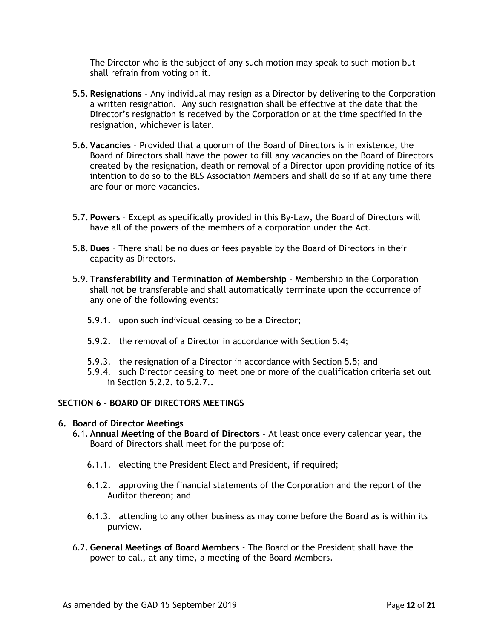The Director who is the subject of any such motion may speak to such motion but shall refrain from voting on it.

- 5.5. **Resignations**  Any individual may resign as a Director by delivering to the Corporation a written resignation. Any such resignation shall be effective at the date that the Director's resignation is received by the Corporation or at the time specified in the resignation, whichever is later.
- 5.6. **Vacancies** Provided that a quorum of the Board of Directors is in existence, the Board of Directors shall have the power to fill any vacancies on the Board of Directors created by the resignation, death or removal of a Director upon providing notice of its intention to do so to the BLS Association Members and shall do so if at any time there are four or more vacancies.
- 5.7. **Powers**  Except as specifically provided in this By-Law, the Board of Directors will have all of the powers of the members of a corporation under the Act.
- 5.8. **Dues** There shall be no dues or fees payable by the Board of Directors in their capacity as Directors.
- 5.9. **Transferability and Termination of Membership** Membership in the Corporation shall not be transferable and shall automatically terminate upon the occurrence of any one of the following events:
	- 5.9.1. upon such individual ceasing to be a Director;
	- 5.9.2. the removal of a Director in accordance with Section 5.4;
	- 5.9.3. the resignation of a Director in accordance with Section 5.5; and
	- 5.9.4. such Director ceasing to meet one or more of the qualification criteria set out in Section 5.2.2. to 5.2.7..

# **SECTION 6 – BOARD OF DIRECTORS MEETINGS**

#### **6. Board of Director Meetings**

- 6.1. **Annual Meeting of the Board of Directors** At least once every calendar year, the Board of Directors shall meet for the purpose of:
	- 6.1.1. electing the President Elect and President, if required;
	- 6.1.2. approving the financial statements of the Corporation and the report of the Auditor thereon; and
	- 6.1.3. attending to any other business as may come before the Board as is within its purview.
- 6.2. **General Meetings of Board Members** The Board or the President shall have the power to call, at any time, a meeting of the Board Members.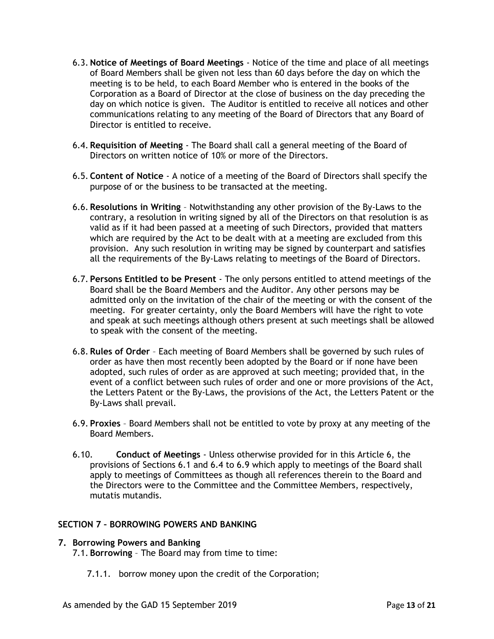- 6.3. **Notice of Meetings of Board Meetings** Notice of the time and place of all meetings of Board Members shall be given not less than 60 days before the day on which the meeting is to be held, to each Board Member who is entered in the books of the Corporation as a Board of Director at the close of business on the day preceding the day on which notice is given. The Auditor is entitled to receive all notices and other communications relating to any meeting of the Board of Directors that any Board of Director is entitled to receive.
- 6.4. **Requisition of Meeting** The Board shall call a general meeting of the Board of Directors on written notice of 10% or more of the Directors.
- 6.5. **Content of Notice** A notice of a meeting of the Board of Directors shall specify the purpose of or the business to be transacted at the meeting.
- 6.6. **Resolutions in Writing** Notwithstanding any other provision of the By-Laws to the contrary, a resolution in writing signed by all of the Directors on that resolution is as valid as if it had been passed at a meeting of such Directors, provided that matters which are required by the Act to be dealt with at a meeting are excluded from this provision. Any such resolution in writing may be signed by counterpart and satisfies all the requirements of the By-Laws relating to meetings of the Board of Directors.
- 6.7. **Persons Entitled to be Present** The only persons entitled to attend meetings of the Board shall be the Board Members and the Auditor. Any other persons may be admitted only on the invitation of the chair of the meeting or with the consent of the meeting. For greater certainty, only the Board Members will have the right to vote and speak at such meetings although others present at such meetings shall be allowed to speak with the consent of the meeting.
- 6.8. **Rules of Order** Each meeting of Board Members shall be governed by such rules of order as have then most recently been adopted by the Board or if none have been adopted, such rules of order as are approved at such meeting; provided that, in the event of a conflict between such rules of order and one or more provisions of the Act, the Letters Patent or the By-Laws, the provisions of the Act, the Letters Patent or the By-Laws shall prevail.
- 6.9. **Proxies** Board Members shall not be entitled to vote by proxy at any meeting of the Board Members.
- 6.10. **Conduct of Meetings** Unless otherwise provided for in this Article 6, the provisions of Sections 6.1 and 6.4 to 6.9 which apply to meetings of the Board shall apply to meetings of Committees as though all references therein to the Board and the Directors were to the Committee and the Committee Members, respectively, mutatis mutandis.

# **SECTION 7 – BORROWING POWERS AND BANKING**

# **7. Borrowing Powers and Banking**

7.1. **Borrowing** – The Board may from time to time:

7.1.1. borrow money upon the credit of the Corporation;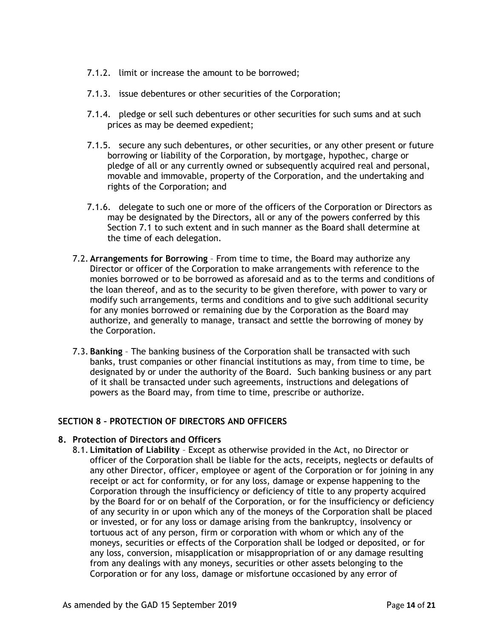- 7.1.2. limit or increase the amount to be borrowed;
- 7.1.3. issue debentures or other securities of the Corporation;
- 7.1.4. pledge or sell such debentures or other securities for such sums and at such prices as may be deemed expedient;
- 7.1.5. secure any such debentures, or other securities, or any other present or future borrowing or liability of the Corporation, by mortgage, hypothec, charge or pledge of all or any currently owned or subsequently acquired real and personal, movable and immovable, property of the Corporation, and the undertaking and rights of the Corporation; and
- 7.1.6. delegate to such one or more of the officers of the Corporation or Directors as may be designated by the Directors, all or any of the powers conferred by this Section 7.1 to such extent and in such manner as the Board shall determine at the time of each delegation.
- 7.2. **Arrangements for Borrowing** From time to time, the Board may authorize any Director or officer of the Corporation to make arrangements with reference to the monies borrowed or to be borrowed as aforesaid and as to the terms and conditions of the loan thereof, and as to the security to be given therefore, with power to vary or modify such arrangements, terms and conditions and to give such additional security for any monies borrowed or remaining due by the Corporation as the Board may authorize, and generally to manage, transact and settle the borrowing of money by the Corporation.
- 7.3. **Banking** The banking business of the Corporation shall be transacted with such banks, trust companies or other financial institutions as may, from time to time, be designated by or under the authority of the Board. Such banking business or any part of it shall be transacted under such agreements, instructions and delegations of powers as the Board may, from time to time, prescribe or authorize.

# **SECTION 8 – PROTECTION OF DIRECTORS AND OFFICERS**

# **8. Protection of Directors and Officers**

8.1. **Limitation of Liability** – Except as otherwise provided in the Act, no Director or officer of the Corporation shall be liable for the acts, receipts, neglects or defaults of any other Director, officer, employee or agent of the Corporation or for joining in any receipt or act for conformity, or for any loss, damage or expense happening to the Corporation through the insufficiency or deficiency of title to any property acquired by the Board for or on behalf of the Corporation, or for the insufficiency or deficiency of any security in or upon which any of the moneys of the Corporation shall be placed or invested, or for any loss or damage arising from the bankruptcy, insolvency or tortuous act of any person, firm or corporation with whom or which any of the moneys, securities or effects of the Corporation shall be lodged or deposited, or for any loss, conversion, misapplication or misappropriation of or any damage resulting from any dealings with any moneys, securities or other assets belonging to the Corporation or for any loss, damage or misfortune occasioned by any error of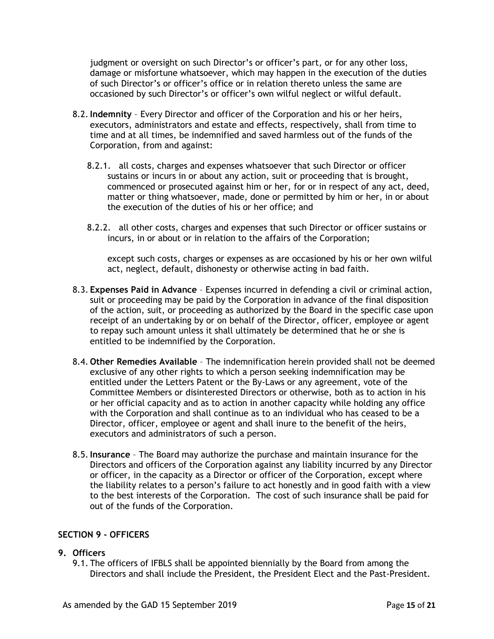judgment or oversight on such Director's or officer's part, or for any other loss, damage or misfortune whatsoever, which may happen in the execution of the duties of such Director's or officer's office or in relation thereto unless the same are occasioned by such Director's or officer's own wilful neglect or wilful default.

- 8.2.**Indemnity** Every Director and officer of the Corporation and his or her heirs, executors, administrators and estate and effects, respectively, shall from time to time and at all times, be indemnified and saved harmless out of the funds of the Corporation, from and against:
	- 8.2.1. all costs, charges and expenses whatsoever that such Director or officer sustains or incurs in or about any action, suit or proceeding that is brought, commenced or prosecuted against him or her, for or in respect of any act, deed, matter or thing whatsoever, made, done or permitted by him or her, in or about the execution of the duties of his or her office; and
	- 8.2.2. all other costs, charges and expenses that such Director or officer sustains or incurs, in or about or in relation to the affairs of the Corporation;

except such costs, charges or expenses as are occasioned by his or her own wilful act, neglect, default, dishonesty or otherwise acting in bad faith.

- 8.3. **Expenses Paid in Advance** Expenses incurred in defending a civil or criminal action, suit or proceeding may be paid by the Corporation in advance of the final disposition of the action, suit, or proceeding as authorized by the Board in the specific case upon receipt of an undertaking by or on behalf of the Director, officer, employee or agent to repay such amount unless it shall ultimately be determined that he or she is entitled to be indemnified by the Corporation.
- 8.4. **Other Remedies Available** The indemnification herein provided shall not be deemed exclusive of any other rights to which a person seeking indemnification may be entitled under the Letters Patent or the By-Laws or any agreement, vote of the Committee Members or disinterested Directors or otherwise, both as to action in his or her official capacity and as to action in another capacity while holding any office with the Corporation and shall continue as to an individual who has ceased to be a Director, officer, employee or agent and shall inure to the benefit of the heirs, executors and administrators of such a person.
- 8.5.**Insurance**  The Board may authorize the purchase and maintain insurance for the Directors and officers of the Corporation against any liability incurred by any Director or officer, in the capacity as a Director or officer of the Corporation, except where the liability relates to a person's failure to act honestly and in good faith with a view to the best interests of the Corporation. The cost of such insurance shall be paid for out of the funds of the Corporation.

# **SECTION 9 - OFFICERS**

# **9. Officers**

9.1. The officers of IFBLS shall be appointed biennially by the Board from among the Directors and shall include the President, the President Elect and the Past-President.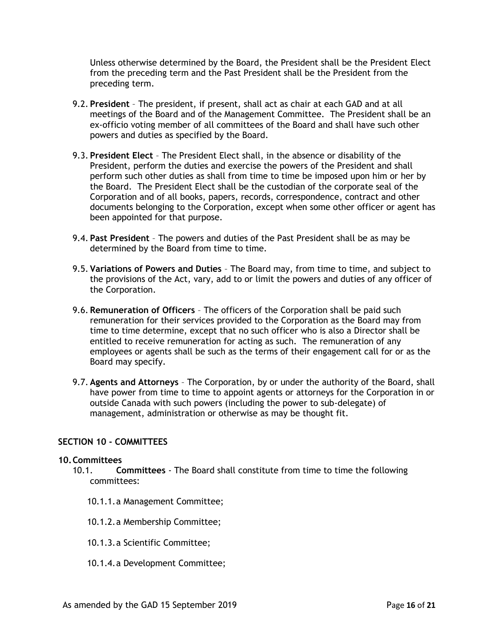Unless otherwise determined by the Board, the President shall be the President Elect from the preceding term and the Past President shall be the President from the preceding term.

- 9.2. **President**  The president, if present, shall act as chair at each GAD and at all meetings of the Board and of the Management Committee. The President shall be an ex-officio voting member of all committees of the Board and shall have such other powers and duties as specified by the Board.
- 9.3. **President Elect** The President Elect shall, in the absence or disability of the President, perform the duties and exercise the powers of the President and shall perform such other duties as shall from time to time be imposed upon him or her by the Board. The President Elect shall be the custodian of the corporate seal of the Corporation and of all books, papers, records, correspondence, contract and other documents belonging to the Corporation, except when some other officer or agent has been appointed for that purpose.
- 9.4. **Past President** The powers and duties of the Past President shall be as may be determined by the Board from time to time.
- 9.5. **Variations of Powers and Duties** The Board may, from time to time, and subject to the provisions of the Act, vary, add to or limit the powers and duties of any officer of the Corporation.
- 9.6. **Remuneration of Officers** The officers of the Corporation shall be paid such remuneration for their services provided to the Corporation as the Board may from time to time determine, except that no such officer who is also a Director shall be entitled to receive remuneration for acting as such. The remuneration of any employees or agents shall be such as the terms of their engagement call for or as the Board may specify.
- 9.7. **Agents and Attorneys**  The Corporation, by or under the authority of the Board, shall have power from time to time to appoint agents or attorneys for the Corporation in or outside Canada with such powers (including the power to sub-delegate) of management, administration or otherwise as may be thought fit.

#### **SECTION 10 - COMMITTEES**

#### **10.Committees**

- 10.1. **Committees** The Board shall constitute from time to time the following committees:
	- 10.1.1.a Management Committee;
	- 10.1.2.a Membership Committee;
	- 10.1.3.a Scientific Committee;
	- 10.1.4.a Development Committee;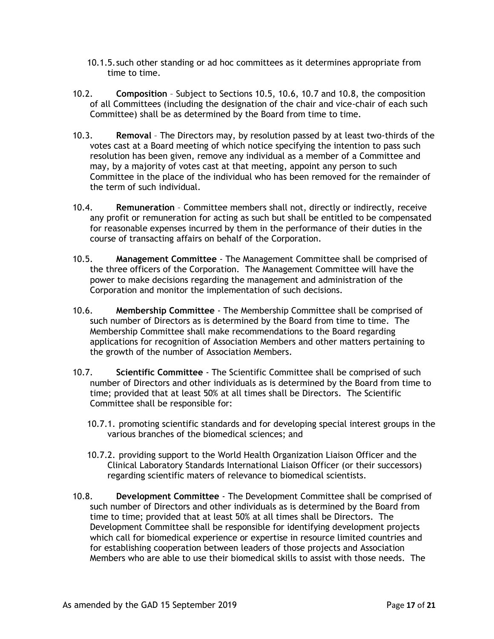- 10.1.5.such other standing or ad hoc committees as it determines appropriate from time to time.
- 10.2. **Composition**  Subject to Sections 10.5, 10.6, 10.7 and 10.8, the composition of all Committees (including the designation of the chair and vice-chair of each such Committee) shall be as determined by the Board from time to time.
- 10.3. **Removal** The Directors may, by resolution passed by at least two-thirds of the votes cast at a Board meeting of which notice specifying the intention to pass such resolution has been given, remove any individual as a member of a Committee and may, by a majority of votes cast at that meeting, appoint any person to such Committee in the place of the individual who has been removed for the remainder of the term of such individual.
- 10.4. **Remuneration** Committee members shall not, directly or indirectly, receive any profit or remuneration for acting as such but shall be entitled to be compensated for reasonable expenses incurred by them in the performance of their duties in the course of transacting affairs on behalf of the Corporation.
- 10.5. **Management Committee** The Management Committee shall be comprised of the three officers of the Corporation. The Management Committee will have the power to make decisions regarding the management and administration of the Corporation and monitor the implementation of such decisions.
- 10.6. **Membership Committee** The Membership Committee shall be comprised of such number of Directors as is determined by the Board from time to time. The Membership Committee shall make recommendations to the Board regarding applications for recognition of Association Members and other matters pertaining to the growth of the number of Association Members.
- 10.7. **Scientific Committee** The Scientific Committee shall be comprised of such number of Directors and other individuals as is determined by the Board from time to time; provided that at least 50% at all times shall be Directors. The Scientific Committee shall be responsible for:
	- 10.7.1. promoting scientific standards and for developing special interest groups in the various branches of the biomedical sciences; and
	- 10.7.2. providing support to the World Health Organization Liaison Officer and the Clinical Laboratory Standards International Liaison Officer (or their successors) regarding scientific maters of relevance to biomedical scientists.
- 10.8. **Development Committee** The Development Committee shall be comprised of such number of Directors and other individuals as is determined by the Board from time to time; provided that at least 50% at all times shall be Directors. The Development Committee shall be responsible for identifying development projects which call for biomedical experience or expertise in resource limited countries and for establishing cooperation between leaders of those projects and Association Members who are able to use their biomedical skills to assist with those needs. The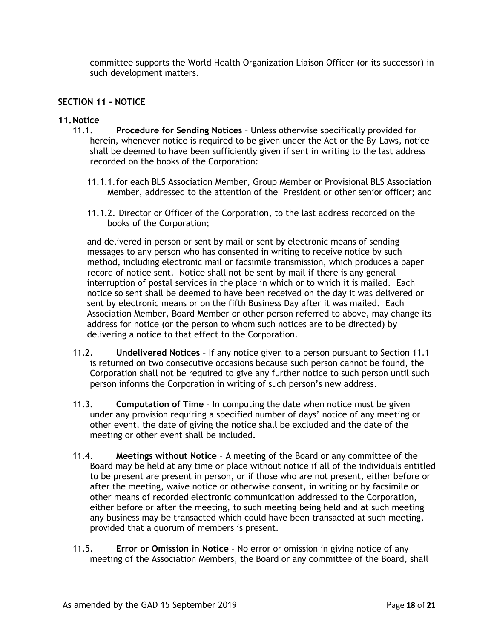committee supports the World Health Organization Liaison Officer (or its successor) in such development matters.

### **SECTION 11 - NOTICE**

#### **11.Notice**

- 11.1. **Procedure for Sending Notices** Unless otherwise specifically provided for herein, whenever notice is required to be given under the Act or the By-Laws, notice shall be deemed to have been sufficiently given if sent in writing to the last address recorded on the books of the Corporation:
	- 11.1.1.for each BLS Association Member, Group Member or Provisional BLS Association Member, addressed to the attention of the President or other senior officer; and
	- 11.1.2. Director or Officer of the Corporation, to the last address recorded on the books of the Corporation;

and delivered in person or sent by mail or sent by electronic means of sending messages to any person who has consented in writing to receive notice by such method, including electronic mail or facsimile transmission, which produces a paper record of notice sent. Notice shall not be sent by mail if there is any general interruption of postal services in the place in which or to which it is mailed. Each notice so sent shall be deemed to have been received on the day it was delivered or sent by electronic means or on the fifth Business Day after it was mailed. Each Association Member, Board Member or other person referred to above, may change its address for notice (or the person to whom such notices are to be directed) by delivering a notice to that effect to the Corporation.

- 11.2. **Undelivered Notices** If any notice given to a person pursuant to Section 11.1 is returned on two consecutive occasions because such person cannot be found, the Corporation shall not be required to give any further notice to such person until such person informs the Corporation in writing of such person's new address.
- 11.3. **Computation of Time** In computing the date when notice must be given under any provision requiring a specified number of days' notice of any meeting or other event, the date of giving the notice shall be excluded and the date of the meeting or other event shall be included.
- 11.4. **Meetings without Notice** A meeting of the Board or any committee of the Board may be held at any time or place without notice if all of the individuals entitled to be present are present in person, or if those who are not present, either before or after the meeting, waive notice or otherwise consent, in writing or by facsimile or other means of recorded electronic communication addressed to the Corporation, either before or after the meeting, to such meeting being held and at such meeting any business may be transacted which could have been transacted at such meeting, provided that a quorum of members is present.
- 11.5. **Error or Omission in Notice** No error or omission in giving notice of any meeting of the Association Members, the Board or any committee of the Board, shall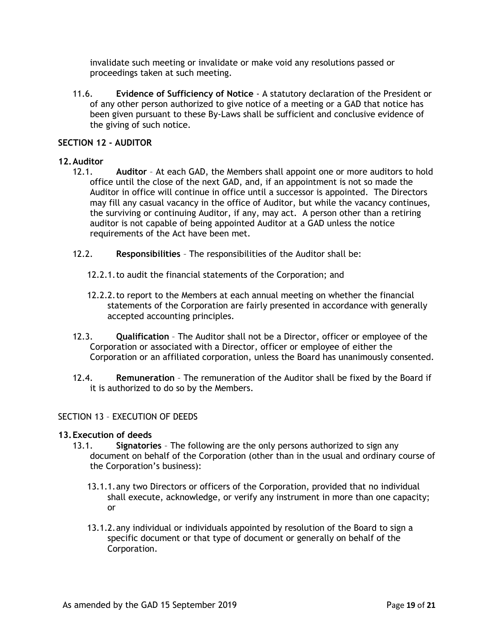invalidate such meeting or invalidate or make void any resolutions passed or proceedings taken at such meeting.

11.6. **Evidence of Sufficiency of Notice** - A statutory declaration of the President or of any other person authorized to give notice of a meeting or a GAD that notice has been given pursuant to these By-Laws shall be sufficient and conclusive evidence of the giving of such notice.

### **SECTION 12 - AUDITOR**

### **12.Auditor**

- 12.1. **Auditor** At each GAD, the Members shall appoint one or more auditors to hold office until the close of the next GAD, and, if an appointment is not so made the Auditor in office will continue in office until a successor is appointed. The Directors may fill any casual vacancy in the office of Auditor, but while the vacancy continues, the surviving or continuing Auditor, if any, may act. A person other than a retiring auditor is not capable of being appointed Auditor at a GAD unless the notice requirements of the Act have been met.
- 12.2. **Responsibilities**  The responsibilities of the Auditor shall be:
	- 12.2.1.to audit the financial statements of the Corporation; and
	- 12.2.2.to report to the Members at each annual meeting on whether the financial statements of the Corporation are fairly presented in accordance with generally accepted accounting principles.
- 12.3. **Qualification** The Auditor shall not be a Director, officer or employee of the Corporation or associated with a Director, officer or employee of either the Corporation or an affiliated corporation, unless the Board has unanimously consented.
- 12.4. **Remuneration** The remuneration of the Auditor shall be fixed by the Board if it is authorized to do so by the Members.

# SECTION 13 – EXECUTION OF DEEDS

#### **13.Execution of deeds**

- 13.1. **Signatories** The following are the only persons authorized to sign any document on behalf of the Corporation (other than in the usual and ordinary course of the Corporation's business):
	- 13.1.1.any two Directors or officers of the Corporation, provided that no individual shall execute, acknowledge, or verify any instrument in more than one capacity; or
	- 13.1.2.any individual or individuals appointed by resolution of the Board to sign a specific document or that type of document or generally on behalf of the Corporation.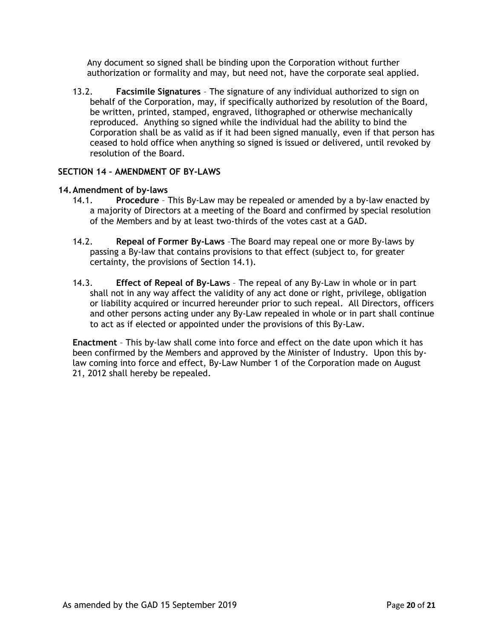Any document so signed shall be binding upon the Corporation without further authorization or formality and may, but need not, have the corporate seal applied.

13.2. **Facsimile Signatures** – The signature of any individual authorized to sign on behalf of the Corporation, may, if specifically authorized by resolution of the Board, be written, printed, stamped, engraved, lithographed or otherwise mechanically reproduced. Anything so signed while the individual had the ability to bind the Corporation shall be as valid as if it had been signed manually, even if that person has ceased to hold office when anything so signed is issued or delivered, until revoked by resolution of the Board.

# **SECTION 14 – AMENDMENT OF BY-LAWS**

# **14.Amendment of by-laws**

- 14.1. **Procedure** This By-Law may be repealed or amended by a by-law enacted by a majority of Directors at a meeting of the Board and confirmed by special resolution of the Members and by at least two-thirds of the votes cast at a GAD.
- 14.2. **Repeal of Former By-Laws** –The Board may repeal one or more By-laws by passing a By-law that contains provisions to that effect (subject to, for greater certainty, the provisions of Section 14.1).
- 14.3. **Effect of Repeal of By-Laws** The repeal of any By-Law in whole or in part shall not in any way affect the validity of any act done or right, privilege, obligation or liability acquired or incurred hereunder prior to such repeal. All Directors, officers and other persons acting under any By-Law repealed in whole or in part shall continue to act as if elected or appointed under the provisions of this By-Law.

**Enactment** – This by-law shall come into force and effect on the date upon which it has been confirmed by the Members and approved by the Minister of Industry. Upon this bylaw coming into force and effect, By-Law Number 1 of the Corporation made on August 21, 2012 shall hereby be repealed.